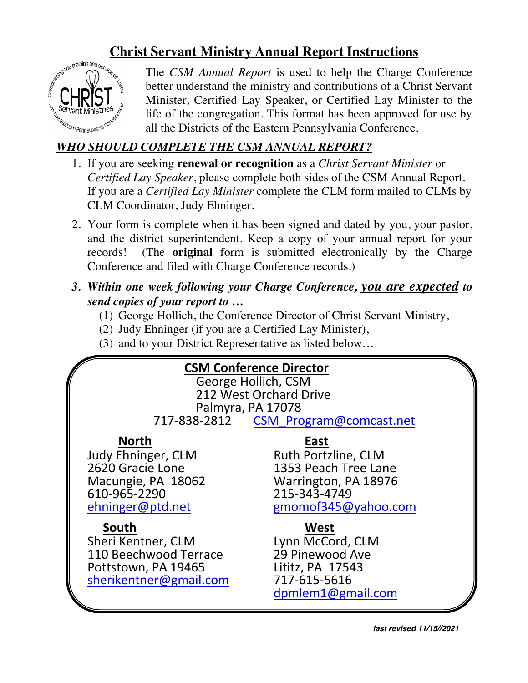

**Christ Servant Ministry Annual Report Instructions**<br>The *CSM Annual Report* is used to help the Charge (<br> **CHDICT** The *CSM Annual Report* is used to help the Charge Conference better understand the ministry and contributions of a Christ Servant Minister, Certified Lay Speaker, or Certified Lay Minister to the life of the congregation. This format has been approved for use by all the Districts of the Eastern Pennsylvania Conference. *WHO SHOULD COMPLETE THE CSM ANNUAL REPORT?*

- 1. If you are seeking **renewal or recognition** as a *Christ Servant Minister* or *Certified Lay Speaker*, please complete both sides of the CSM Annual Report. If you are a *Certified Lay Minister* complete the CLM form mailed to CLMs by CLM Coordinator, Judy Ehninger.
- 2. Your form is complete when it has been signed and dated by you, your pastor, and the district superintendent. Keep a copy of your annual report for your records! (The **original** form is submitted electronically by the Charge Conference and filed with Charge Conference records.)

## *3. Within one week following your Charge Conference, you are expected to send copies of your report to …*

- (1) George Hollich, the Conference Director of Christ Servant Ministry,
- (2) Judy Ehninger (if you are a Certified Lay Minister),
- (3) and to your District Representative as listed below…

# **CSM Conference Director**

George Hollich, CSM 212 West Orchard Drive Palmyra, PA 17078 717-838-2812 CSM\_Program@comcast.net

# **North East**

Judy Ehninger, CLM Ruth Portzline, CLM<br>1353 Peach Tree Lar  $610-965-2290$ <br>ehninger@ptd.net

**South West** Sheri Kentner, CLM bynn McCord, CLN<br>110 Beechwood Terrace and 29 Pinewood Ave 110 Beechwood Terrace Pottstown, PA 19465 Lititz, PA 17543<br>
sherikentner@gmail.com 717-615-5616 sherikentner@gmail.com

1353 Peach Tree Lane Macungie, PA 18062 Warrington, PA 18976 gmomof345@yahoo.com

dpmlem1@gmail.com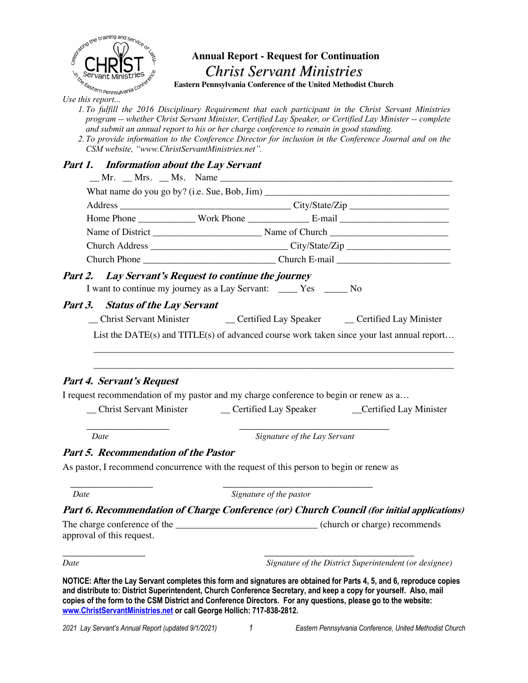

## **Annual Report - Request for Continuation**  *Christ Servant Ministries*

**Eastern Pennsylvania Conference of the United Methodist Church**

*1. To fulfill the 2016 Disciplinary Requirement that each participant in the Christ Servant Ministries program -- whether Christ Servant Minister, Certified Lay Speaker, or Certified Lay Minister -- complete and submit an annual report to his or her charge conference to remain in good standing.* 

*2. To provide information to the Conference Director for inclusion in the Conference Journal and on the CSM website, "www.ChristServantMinistries.net".*

## **Part 1. Information about the Lay Servant**

|                                                       | Church Address __________________________________City/State/Zip _________________               |  |  |
|-------------------------------------------------------|-------------------------------------------------------------------------------------------------|--|--|
|                                                       |                                                                                                 |  |  |
| Part 2. Lay Servant's Request to continue the journey | I want to continue my journey as a Lay Servant: ______ Yes ______ No                            |  |  |
|                                                       |                                                                                                 |  |  |
| Part 3. Status of the Lay Servant                     | _Christ Servant Minister ________________ Certified Lay Speaker ________ Certified Lay Minister |  |  |
|                                                       | List the DATE(s) and TITLE(s) of advanced course work taken since your last annual report       |  |  |

| <b>Christ Servant Minister</b> | Certified Lay Speaker | <b>Certified Lay Minister</b> |
|--------------------------------|-----------------------|-------------------------------|
|--------------------------------|-----------------------|-------------------------------|

 $\overline{\phantom{a}}$  ,  $\overline{\phantom{a}}$  ,  $\overline{\phantom{a}}$  ,  $\overline{\phantom{a}}$  ,  $\overline{\phantom{a}}$  ,  $\overline{\phantom{a}}$  ,  $\overline{\phantom{a}}$  ,  $\overline{\phantom{a}}$  ,  $\overline{\phantom{a}}$  ,  $\overline{\phantom{a}}$  ,  $\overline{\phantom{a}}$  ,  $\overline{\phantom{a}}$  ,  $\overline{\phantom{a}}$  ,  $\overline{\phantom{a}}$  ,  $\overline{\phantom{a}}$  ,  $\overline{\phantom{a}}$ 

*Date Signature of the Lay Servant*

## **Part 5. Recommendation of the Pastor**

As pastor, I recommend concurrence with the request of this person to begin or renew as

 $\frac{1}{2}$  ,  $\frac{1}{2}$  ,  $\frac{1}{2}$  ,  $\frac{1}{2}$  ,  $\frac{1}{2}$  ,  $\frac{1}{2}$  ,  $\frac{1}{2}$  ,  $\frac{1}{2}$  ,  $\frac{1}{2}$  ,  $\frac{1}{2}$  ,  $\frac{1}{2}$  ,  $\frac{1}{2}$  ,  $\frac{1}{2}$  ,  $\frac{1}{2}$  ,  $\frac{1}{2}$  ,  $\frac{1}{2}$  ,  $\frac{1}{2}$  ,  $\frac{1}{2}$  ,  $\frac{1$ *Date Signature of the pastor*

## **Part 6. Recommendation of Charge Conference (or) Church Council (for initial applications)**

The charge conference of the \_\_\_\_\_\_\_\_\_\_\_\_\_\_\_\_\_\_\_\_\_\_\_\_\_\_\_\_\_\_\_\_\_\_(church or charge) recommends approval of this request.

\_\_\_\_\_\_\_\_\_\_\_\_\_\_\_\_ \_\_\_\_\_\_\_\_\_\_\_\_\_\_\_\_\_\_\_\_\_\_\_\_\_\_\_\_\_ *Date Signature of the District Superintendent (or designee)*

**NOTICE: After the Lay Servant completes this form and signatures are obtained for Parts 4, 5, and 6, reproduce copies and distribute to: District Superintendent, Church Conference Secretary, and keep a copy for yourself. Also, mail copies of the form to the CSM District and Conference Directors. For any questions, please go to the website: www.ChristServantMinistries.net or call George Hollich: 717-838-2812.**